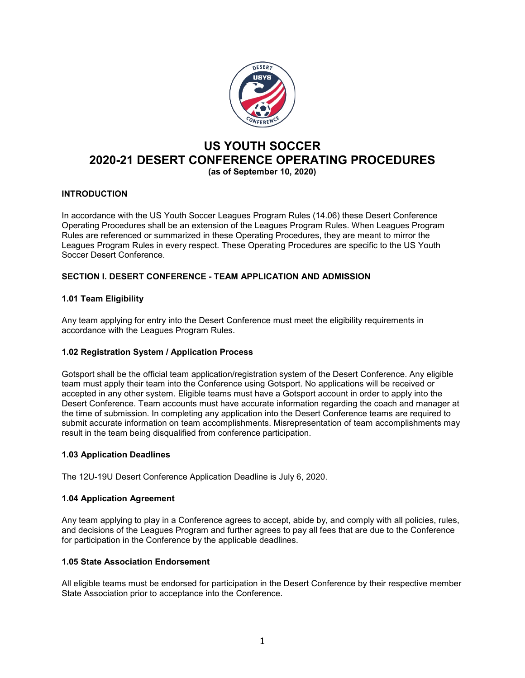

# **US YOUTH SOCCER 2020-21 DESERT CONFERENCE OPERATING PROCEDURES (as of September 10, 2020)**

# **INTRODUCTION**

In accordance with the US Youth Soccer Leagues Program Rules (14.06) these Desert Conference Operating Procedures shall be an extension of the Leagues Program Rules. When Leagues Program Rules are referenced or summarized in these Operating Procedures, they are meant to mirror the Leagues Program Rules in every respect. These Operating Procedures are specific to the US Youth Soccer Desert Conference.

# **SECTION I. DESERT CONFERENCE - TEAM APPLICATION AND ADMISSION**

# **1.01 Team Eligibility**

Any team applying for entry into the Desert Conference must meet the eligibility requirements in accordance with the Leagues Program Rules.

#### **1.02 Registration System / Application Process**

Gotsport shall be the official team application/registration system of the Desert Conference. Any eligible team must apply their team into the Conference using Gotsport. No applications will be received or accepted in any other system. Eligible teams must have a Gotsport account in order to apply into the Desert Conference. Team accounts must have accurate information regarding the coach and manager at the time of submission. In completing any application into the Desert Conference teams are required to submit accurate information on team accomplishments. Misrepresentation of team accomplishments may result in the team being disqualified from conference participation.

#### **1.03 Application Deadlines**

The 12U-19U Desert Conference Application Deadline is July 6, 2020.

#### **1.04 Application Agreement**

Any team applying to play in a Conference agrees to accept, abide by, and comply with all policies, rules, and decisions of the Leagues Program and further agrees to pay all fees that are due to the Conference for participation in the Conference by the applicable deadlines.

### **1.05 State Association Endorsement**

All eligible teams must be endorsed for participation in the Desert Conference by their respective member State Association prior to acceptance into the Conference.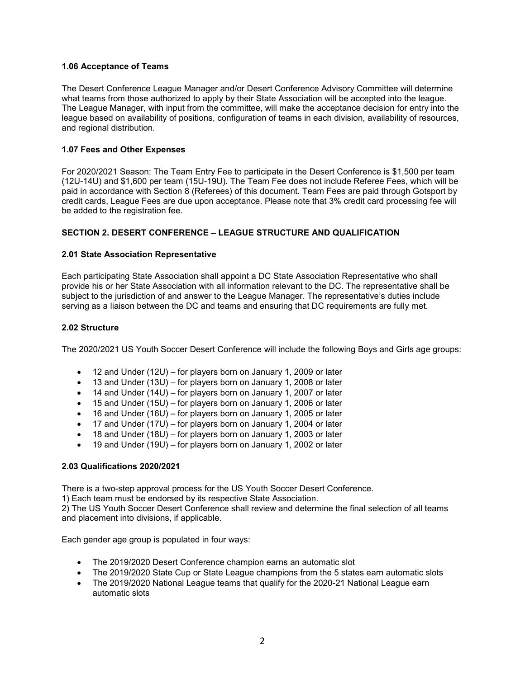### **1.06 Acceptance of Teams**

The Desert Conference League Manager and/or Desert Conference Advisory Committee will determine what teams from those authorized to apply by their State Association will be accepted into the league. The League Manager, with input from the committee, will make the acceptance decision for entry into the league based on availability of positions, configuration of teams in each division, availability of resources, and regional distribution.

### **1.07 Fees and Other Expenses**

For 2020/2021 Season: The Team Entry Fee to participate in the Desert Conference is \$1,500 per team (12U-14U) and \$1,600 per team (15U-19U). The Team Fee does not include Referee Fees, which will be paid in accordance with Section 8 (Referees) of this document. Team Fees are paid through Gotsport by credit cards, League Fees are due upon acceptance. Please note that 3% credit card processing fee will be added to the registration fee.

### **SECTION 2. DESERT CONFERENCE – LEAGUE STRUCTURE AND QUALIFICATION**

#### **2.01 State Association Representative**

Each participating State Association shall appoint a DC State Association Representative who shall provide his or her State Association with all information relevant to the DC. The representative shall be subject to the jurisdiction of and answer to the League Manager. The representative's duties include serving as a liaison between the DC and teams and ensuring that DC requirements are fully met.

#### **2.02 Structure**

The 2020/2021 US Youth Soccer Desert Conference will include the following Boys and Girls age groups:

- 12 and Under (12U) for players born on January 1, 2009 or later
- 13 and Under (13U) for players born on January 1, 2008 or later
- 14 and Under (14U) for players born on January 1, 2007 or later
- 15 and Under (15U) for players born on January 1, 2006 or later
- 16 and Under (16U) for players born on January 1, 2005 or later
- 17 and Under (17U) for players born on January 1, 2004 or later
- 18 and Under (18U) for players born on January 1, 2003 or later
- 19 and Under (19U) for players born on January 1, 2002 or later

#### **2.03 Qualifications 2020/2021**

There is a two-step approval process for the US Youth Soccer Desert Conference.

1) Each team must be endorsed by its respective State Association.

2) The US Youth Soccer Desert Conference shall review and determine the final selection of all teams and placement into divisions, if applicable.

Each gender age group is populated in four ways:

- The 2019/2020 Desert Conference champion earns an automatic slot
- The 2019/2020 State Cup or State League champions from the 5 states earn automatic slots
- The 2019/2020 National League teams that qualify for the 2020-21 National League earn automatic slots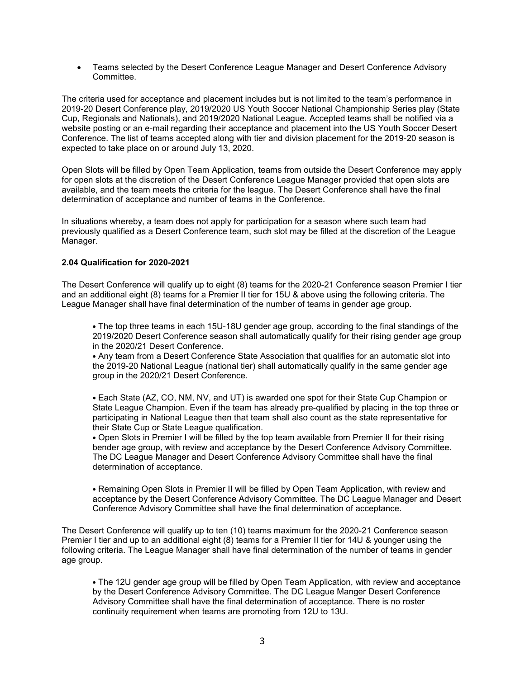• Teams selected by the Desert Conference League Manager and Desert Conference Advisory Committee.

The criteria used for acceptance and placement includes but is not limited to the team's performance in 2019-20 Desert Conference play, 2019/2020 US Youth Soccer National Championship Series play (State Cup, Regionals and Nationals), and 2019/2020 National League. Accepted teams shall be notified via a website posting or an e-mail regarding their acceptance and placement into the US Youth Soccer Desert Conference. The list of teams accepted along with tier and division placement for the 2019-20 season is expected to take place on or around July 13, 2020.

Open Slots will be filled by Open Team Application, teams from outside the Desert Conference may apply for open slots at the discretion of the Desert Conference League Manager provided that open slots are available, and the team meets the criteria for the league. The Desert Conference shall have the final determination of acceptance and number of teams in the Conference.

In situations whereby, a team does not apply for participation for a season where such team had previously qualified as a Desert Conference team, such slot may be filled at the discretion of the League Manager.

#### **2.04 Qualification for 2020-2021**

The Desert Conference will qualify up to eight (8) teams for the 2020-21 Conference season Premier I tier and an additional eight (8) teams for a Premier II tier for 15U & above using the following criteria. The League Manager shall have final determination of the number of teams in gender age group.

• The top three teams in each 15U-18U gender age group, according to the final standings of the 2019/2020 Desert Conference season shall automatically qualify for their rising gender age group in the 2020/21 Desert Conference.

• Any team from a Desert Conference State Association that qualifies for an automatic slot into the 2019-20 National League (national tier) shall automatically qualify in the same gender age group in the 2020/21 Desert Conference.

• Each State (AZ, CO, NM, NV, and UT) is awarded one spot for their State Cup Champion or State League Champion. Even if the team has already pre-qualified by placing in the top three or participating in National League then that team shall also count as the state representative for their State Cup or State League qualification.

• Open Slots in Premier I will be filled by the top team available from Premier II for their rising bender age group, with review and acceptance by the Desert Conference Advisory Committee. The DC League Manager and Desert Conference Advisory Committee shall have the final determination of acceptance.

• Remaining Open Slots in Premier II will be filled by Open Team Application, with review and acceptance by the Desert Conference Advisory Committee. The DC League Manager and Desert Conference Advisory Committee shall have the final determination of acceptance.

The Desert Conference will qualify up to ten (10) teams maximum for the 2020-21 Conference season Premier I tier and up to an additional eight (8) teams for a Premier II tier for 14U & younger using the following criteria. The League Manager shall have final determination of the number of teams in gender age group.

• The 12U gender age group will be filled by Open Team Application, with review and acceptance by the Desert Conference Advisory Committee. The DC League Manger Desert Conference Advisory Committee shall have the final determination of acceptance. There is no roster continuity requirement when teams are promoting from 12U to 13U.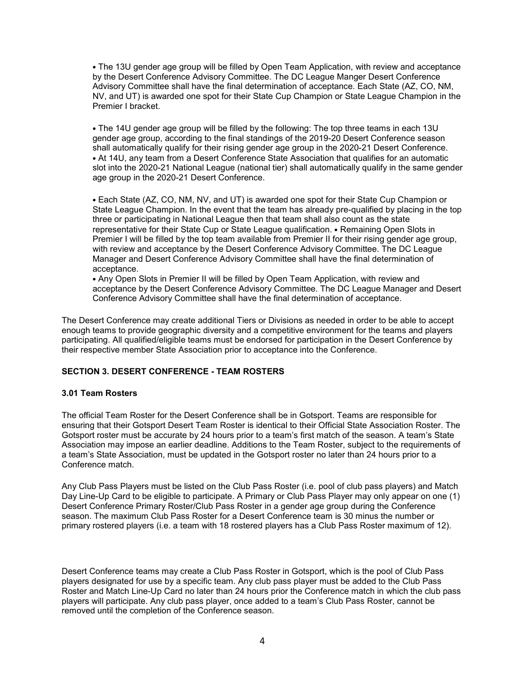• The 13U gender age group will be filled by Open Team Application, with review and acceptance by the Desert Conference Advisory Committee. The DC League Manger Desert Conference Advisory Committee shall have the final determination of acceptance. Each State (AZ, CO, NM, NV, and UT) is awarded one spot for their State Cup Champion or State League Champion in the Premier I bracket.

• The 14U gender age group will be filled by the following: The top three teams in each 13U gender age group, according to the final standings of the 2019-20 Desert Conference season shall automatically qualify for their rising gender age group in the 2020-21 Desert Conference. • At 14U, any team from a Desert Conference State Association that qualifies for an automatic slot into the 2020-21 National League (national tier) shall automatically qualify in the same gender age group in the 2020-21 Desert Conference.

• Each State (AZ, CO, NM, NV, and UT) is awarded one spot for their State Cup Champion or State League Champion. In the event that the team has already pre-qualified by placing in the top three or participating in National League then that team shall also count as the state representative for their State Cup or State League qualification. • Remaining Open Slots in Premier I will be filled by the top team available from Premier II for their rising gender age group, with review and acceptance by the Desert Conference Advisory Committee. The DC League Manager and Desert Conference Advisory Committee shall have the final determination of acceptance.

• Any Open Slots in Premier II will be filled by Open Team Application, with review and acceptance by the Desert Conference Advisory Committee. The DC League Manager and Desert Conference Advisory Committee shall have the final determination of acceptance.

The Desert Conference may create additional Tiers or Divisions as needed in order to be able to accept enough teams to provide geographic diversity and a competitive environment for the teams and players participating. All qualified/eligible teams must be endorsed for participation in the Desert Conference by their respective member State Association prior to acceptance into the Conference.

#### **SECTION 3. DESERT CONFERENCE - TEAM ROSTERS**

#### **3.01 Team Rosters**

The official Team Roster for the Desert Conference shall be in Gotsport. Teams are responsible for ensuring that their Gotsport Desert Team Roster is identical to their Official State Association Roster. The Gotsport roster must be accurate by 24 hours prior to a team's first match of the season. A team's State Association may impose an earlier deadline. Additions to the Team Roster, subject to the requirements of a team's State Association, must be updated in the Gotsport roster no later than 24 hours prior to a Conference match.

Any Club Pass Players must be listed on the Club Pass Roster (i.e. pool of club pass players) and Match Day Line-Up Card to be eligible to participate. A Primary or Club Pass Player may only appear on one (1) Desert Conference Primary Roster/Club Pass Roster in a gender age group during the Conference season. The maximum Club Pass Roster for a Desert Conference team is 30 minus the number or primary rostered players (i.e. a team with 18 rostered players has a Club Pass Roster maximum of 12).

Desert Conference teams may create a Club Pass Roster in Gotsport, which is the pool of Club Pass players designated for use by a specific team. Any club pass player must be added to the Club Pass Roster and Match Line-Up Card no later than 24 hours prior the Conference match in which the club pass players will participate. Any club pass player, once added to a team's Club Pass Roster, cannot be removed until the completion of the Conference season.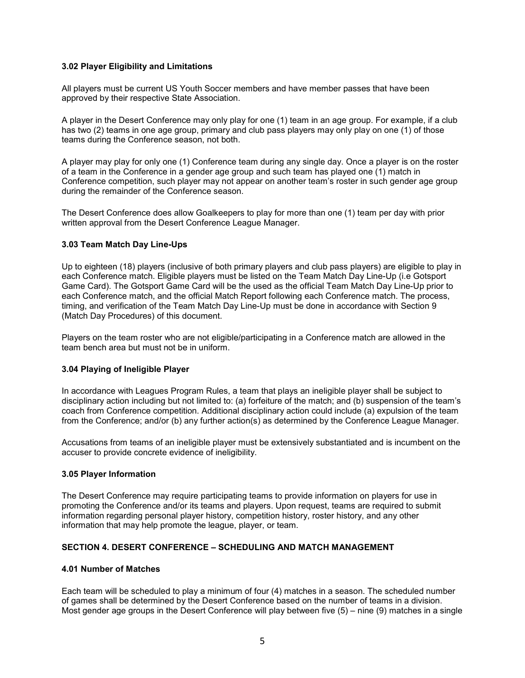### **3.02 Player Eligibility and Limitations**

All players must be current US Youth Soccer members and have member passes that have been approved by their respective State Association.

A player in the Desert Conference may only play for one (1) team in an age group. For example, if a club has two (2) teams in one age group, primary and club pass players may only play on one (1) of those teams during the Conference season, not both.

A player may play for only one (1) Conference team during any single day. Once a player is on the roster of a team in the Conference in a gender age group and such team has played one (1) match in Conference competition, such player may not appear on another team's roster in such gender age group during the remainder of the Conference season.

The Desert Conference does allow Goalkeepers to play for more than one (1) team per day with prior written approval from the Desert Conference League Manager.

#### **3.03 Team Match Day Line-Ups**

Up to eighteen (18) players (inclusive of both primary players and club pass players) are eligible to play in each Conference match. Eligible players must be listed on the Team Match Day Line-Up (i.e Gotsport Game Card). The Gotsport Game Card will be the used as the official Team Match Day Line-Up prior to each Conference match, and the official Match Report following each Conference match. The process, timing, and verification of the Team Match Day Line-Up must be done in accordance with Section 9 (Match Day Procedures) of this document.

Players on the team roster who are not eligible/participating in a Conference match are allowed in the team bench area but must not be in uniform.

#### **3.04 Playing of Ineligible Player**

In accordance with Leagues Program Rules, a team that plays an ineligible player shall be subject to disciplinary action including but not limited to: (a) forfeiture of the match; and (b) suspension of the team's coach from Conference competition. Additional disciplinary action could include (a) expulsion of the team from the Conference; and/or (b) any further action(s) as determined by the Conference League Manager.

Accusations from teams of an ineligible player must be extensively substantiated and is incumbent on the accuser to provide concrete evidence of ineligibility.

#### **3.05 Player Information**

The Desert Conference may require participating teams to provide information on players for use in promoting the Conference and/or its teams and players. Upon request, teams are required to submit information regarding personal player history, competition history, roster history, and any other information that may help promote the league, player, or team.

# **SECTION 4. DESERT CONFERENCE – SCHEDULING AND MATCH MANAGEMENT**

#### **4.01 Number of Matches**

Each team will be scheduled to play a minimum of four (4) matches in a season. The scheduled number of games shall be determined by the Desert Conference based on the number of teams in a division. Most gender age groups in the Desert Conference will play between five (5) – nine (9) matches in a single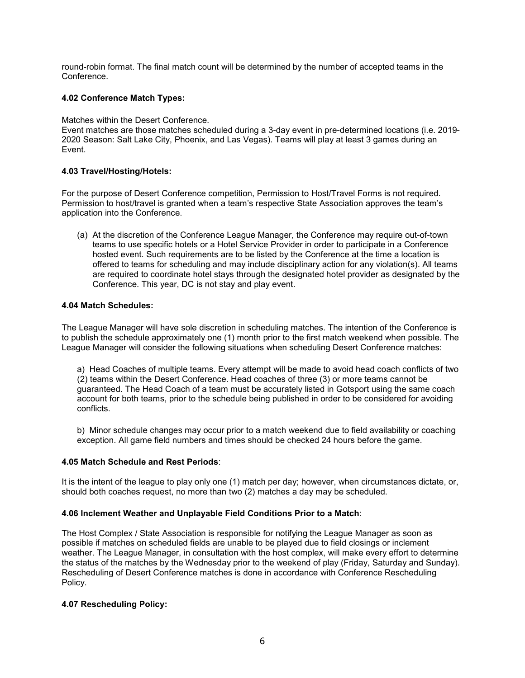round-robin format. The final match count will be determined by the number of accepted teams in the Conference.

# **4.02 Conference Match Types:**

Matches within the Desert Conference.

Event matches are those matches scheduled during a 3-day event in pre-determined locations (i.e. 2019- 2020 Season: Salt Lake City, Phoenix, and Las Vegas). Teams will play at least 3 games during an Event.

# **4.03 Travel/Hosting/Hotels:**

For the purpose of Desert Conference competition, Permission to Host/Travel Forms is not required. Permission to host/travel is granted when a team's respective State Association approves the team's application into the Conference.

(a) At the discretion of the Conference League Manager, the Conference may require out-of-town teams to use specific hotels or a Hotel Service Provider in order to participate in a Conference hosted event. Such requirements are to be listed by the Conference at the time a location is offered to teams for scheduling and may include disciplinary action for any violation(s). All teams are required to coordinate hotel stays through the designated hotel provider as designated by the Conference. This year, DC is not stay and play event.

# **4.04 Match Schedules:**

The League Manager will have sole discretion in scheduling matches. The intention of the Conference is to publish the schedule approximately one (1) month prior to the first match weekend when possible. The League Manager will consider the following situations when scheduling Desert Conference matches:

a) Head Coaches of multiple teams. Every attempt will be made to avoid head coach conflicts of two (2) teams within the Desert Conference. Head coaches of three (3) or more teams cannot be guaranteed. The Head Coach of a team must be accurately listed in Gotsport using the same coach account for both teams, prior to the schedule being published in order to be considered for avoiding conflicts.

b) Minor schedule changes may occur prior to a match weekend due to field availability or coaching exception. All game field numbers and times should be checked 24 hours before the game.

# **4.05 Match Schedule and Rest Periods**:

It is the intent of the league to play only one (1) match per day; however, when circumstances dictate, or, should both coaches request, no more than two (2) matches a day may be scheduled.

# **4.06 Inclement Weather and Unplayable Field Conditions Prior to a Match**:

The Host Complex / State Association is responsible for notifying the League Manager as soon as possible if matches on scheduled fields are unable to be played due to field closings or inclement weather. The League Manager, in consultation with the host complex, will make every effort to determine the status of the matches by the Wednesday prior to the weekend of play (Friday, Saturday and Sunday). Rescheduling of Desert Conference matches is done in accordance with Conference Rescheduling Policy.

# **4.07 Rescheduling Policy:**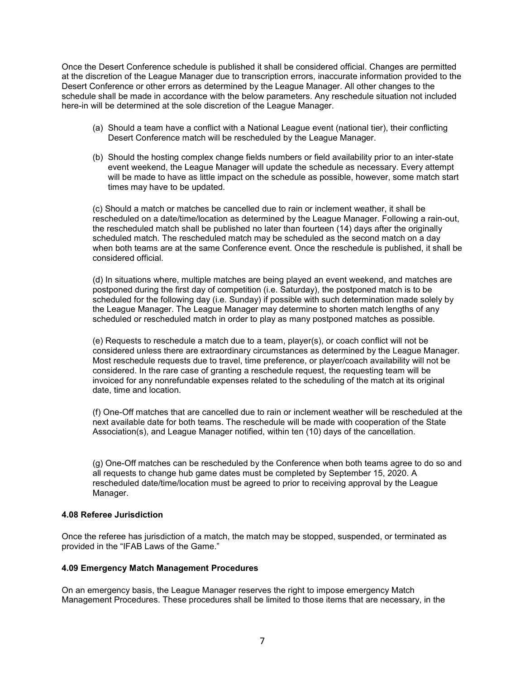Once the Desert Conference schedule is published it shall be considered official. Changes are permitted at the discretion of the League Manager due to transcription errors, inaccurate information provided to the Desert Conference or other errors as determined by the League Manager. All other changes to the schedule shall be made in accordance with the below parameters. Any reschedule situation not included here-in will be determined at the sole discretion of the League Manager.

- (a) Should a team have a conflict with a National League event (national tier), their conflicting Desert Conference match will be rescheduled by the League Manager.
- (b) Should the hosting complex change fields numbers or field availability prior to an inter-state event weekend, the League Manager will update the schedule as necessary. Every attempt will be made to have as little impact on the schedule as possible, however, some match start times may have to be updated.

(c) Should a match or matches be cancelled due to rain or inclement weather, it shall be rescheduled on a date/time/location as determined by the League Manager. Following a rain-out, the rescheduled match shall be published no later than fourteen (14) days after the originally scheduled match. The rescheduled match may be scheduled as the second match on a day when both teams are at the same Conference event. Once the reschedule is published, it shall be considered official.

(d) In situations where, multiple matches are being played an event weekend, and matches are postponed during the first day of competition (i.e. Saturday), the postponed match is to be scheduled for the following day (i.e. Sunday) if possible with such determination made solely by the League Manager. The League Manager may determine to shorten match lengths of any scheduled or rescheduled match in order to play as many postponed matches as possible.

(e) Requests to reschedule a match due to a team, player(s), or coach conflict will not be considered unless there are extraordinary circumstances as determined by the League Manager. Most reschedule requests due to travel, time preference, or player/coach availability will not be considered. In the rare case of granting a reschedule request, the requesting team will be invoiced for any nonrefundable expenses related to the scheduling of the match at its original date, time and location.

(f) One-Off matches that are cancelled due to rain or inclement weather will be rescheduled at the next available date for both teams. The reschedule will be made with cooperation of the State Association(s), and League Manager notified, within ten (10) days of the cancellation.

(g) One-Off matches can be rescheduled by the Conference when both teams agree to do so and all requests to change hub game dates must be completed by September 15, 2020. A rescheduled date/time/location must be agreed to prior to receiving approval by the League Manager.

#### **4.08 Referee Jurisdiction**

Once the referee has jurisdiction of a match, the match may be stopped, suspended, or terminated as provided in the "IFAB Laws of the Game."

# **4.09 Emergency Match Management Procedures**

On an emergency basis, the League Manager reserves the right to impose emergency Match Management Procedures. These procedures shall be limited to those items that are necessary, in the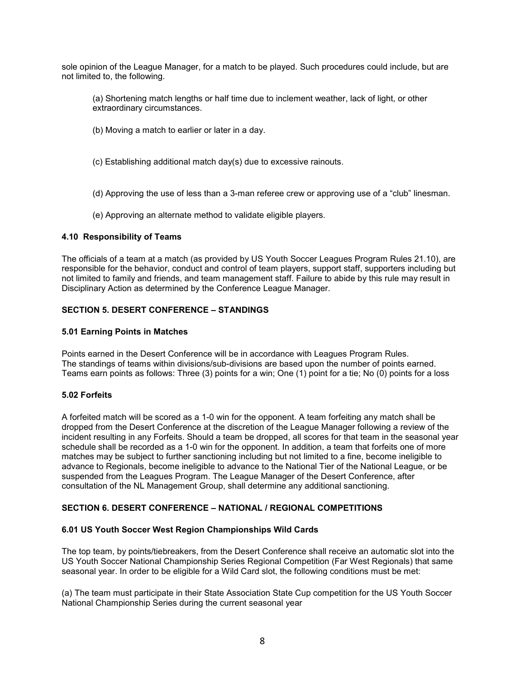sole opinion of the League Manager, for a match to be played. Such procedures could include, but are not limited to, the following.

(a) Shortening match lengths or half time due to inclement weather, lack of light, or other extraordinary circumstances.

- (b) Moving a match to earlier or later in a day.
- (c) Establishing additional match day(s) due to excessive rainouts.
- (d) Approving the use of less than a 3-man referee crew or approving use of a "club" linesman.
- (e) Approving an alternate method to validate eligible players.

### **4.10 Responsibility of Teams**

The officials of a team at a match (as provided by US Youth Soccer Leagues Program Rules 21.10), are responsible for the behavior, conduct and control of team players, support staff, supporters including but not limited to family and friends, and team management staff. Failure to abide by this rule may result in Disciplinary Action as determined by the Conference League Manager.

# **SECTION 5. DESERT CONFERENCE – STANDINGS**

#### **5.01 Earning Points in Matches**

Points earned in the Desert Conference will be in accordance with Leagues Program Rules. The standings of teams within divisions/sub-divisions are based upon the number of points earned. Teams earn points as follows: Three (3) points for a win; One (1) point for a tie; No (0) points for a loss

### **5.02 Forfeits**

A forfeited match will be scored as a 1-0 win for the opponent. A team forfeiting any match shall be dropped from the Desert Conference at the discretion of the League Manager following a review of the incident resulting in any Forfeits. Should a team be dropped, all scores for that team in the seasonal year schedule shall be recorded as a 1-0 win for the opponent. In addition, a team that forfeits one of more matches may be subject to further sanctioning including but not limited to a fine, become ineligible to advance to Regionals, become ineligible to advance to the National Tier of the National League, or be suspended from the Leagues Program. The League Manager of the Desert Conference, after consultation of the NL Management Group, shall determine any additional sanctioning.

### **SECTION 6. DESERT CONFERENCE – NATIONAL / REGIONAL COMPETITIONS**

#### **6.01 US Youth Soccer West Region Championships Wild Cards**

The top team, by points/tiebreakers, from the Desert Conference shall receive an automatic slot into the US Youth Soccer National Championship Series Regional Competition (Far West Regionals) that same seasonal year. In order to be eligible for a Wild Card slot, the following conditions must be met:

(a) The team must participate in their State Association State Cup competition for the US Youth Soccer National Championship Series during the current seasonal year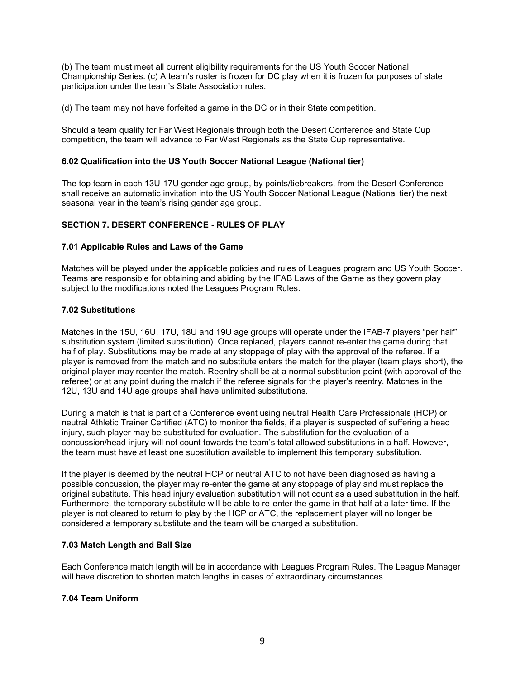(b) The team must meet all current eligibility requirements for the US Youth Soccer National Championship Series. (c) A team's roster is frozen for DC play when it is frozen for purposes of state participation under the team's State Association rules.

(d) The team may not have forfeited a game in the DC or in their State competition.

Should a team qualify for Far West Regionals through both the Desert Conference and State Cup competition, the team will advance to Far West Regionals as the State Cup representative.

### **6.02 Qualification into the US Youth Soccer National League (National tier)**

The top team in each 13U-17U gender age group, by points/tiebreakers, from the Desert Conference shall receive an automatic invitation into the US Youth Soccer National League (National tier) the next seasonal year in the team's rising gender age group.

# **SECTION 7. DESERT CONFERENCE - RULES OF PLAY**

### **7.01 Applicable Rules and Laws of the Game**

Matches will be played under the applicable policies and rules of Leagues program and US Youth Soccer. Teams are responsible for obtaining and abiding by the IFAB Laws of the Game as they govern play subject to the modifications noted the Leagues Program Rules.

### **7.02 Substitutions**

Matches in the 15U, 16U, 17U, 18U and 19U age groups will operate under the IFAB-7 players "per half" substitution system (limited substitution). Once replaced, players cannot re-enter the game during that half of play. Substitutions may be made at any stoppage of play with the approval of the referee. If a player is removed from the match and no substitute enters the match for the player (team plays short), the original player may reenter the match. Reentry shall be at a normal substitution point (with approval of the referee) or at any point during the match if the referee signals for the player's reentry. Matches in the 12U, 13U and 14U age groups shall have unlimited substitutions.

During a match is that is part of a Conference event using neutral Health Care Professionals (HCP) or neutral Athletic Trainer Certified (ATC) to monitor the fields, if a player is suspected of suffering a head injury, such player may be substituted for evaluation. The substitution for the evaluation of a concussion/head injury will not count towards the team's total allowed substitutions in a half. However, the team must have at least one substitution available to implement this temporary substitution.

If the player is deemed by the neutral HCP or neutral ATC to not have been diagnosed as having a possible concussion, the player may re-enter the game at any stoppage of play and must replace the original substitute. This head injury evaluation substitution will not count as a used substitution in the half. Furthermore, the temporary substitute will be able to re-enter the game in that half at a later time. If the player is not cleared to return to play by the HCP or ATC, the replacement player will no longer be considered a temporary substitute and the team will be charged a substitution.

#### **7.03 Match Length and Ball Size**

Each Conference match length will be in accordance with Leagues Program Rules. The League Manager will have discretion to shorten match lengths in cases of extraordinary circumstances.

### **7.04 Team Uniform**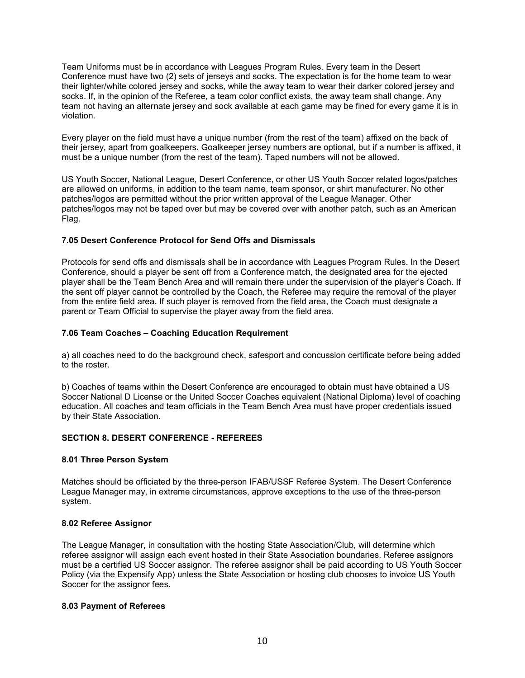Team Uniforms must be in accordance with Leagues Program Rules. Every team in the Desert Conference must have two (2) sets of jerseys and socks. The expectation is for the home team to wear their lighter/white colored jersey and socks, while the away team to wear their darker colored jersey and socks. If, in the opinion of the Referee, a team color conflict exists, the away team shall change. Any team not having an alternate jersey and sock available at each game may be fined for every game it is in violation.

Every player on the field must have a unique number (from the rest of the team) affixed on the back of their jersey, apart from goalkeepers. Goalkeeper jersey numbers are optional, but if a number is affixed, it must be a unique number (from the rest of the team). Taped numbers will not be allowed.

US Youth Soccer, National League, Desert Conference, or other US Youth Soccer related logos/patches are allowed on uniforms, in addition to the team name, team sponsor, or shirt manufacturer. No other patches/logos are permitted without the prior written approval of the League Manager. Other patches/logos may not be taped over but may be covered over with another patch, such as an American Flag.

# **7.05 Desert Conference Protocol for Send Offs and Dismissals**

Protocols for send offs and dismissals shall be in accordance with Leagues Program Rules. In the Desert Conference, should a player be sent off from a Conference match, the designated area for the ejected player shall be the Team Bench Area and will remain there under the supervision of the player's Coach. If the sent off player cannot be controlled by the Coach, the Referee may require the removal of the player from the entire field area. If such player is removed from the field area, the Coach must designate a parent or Team Official to supervise the player away from the field area.

# **7.06 Team Coaches – Coaching Education Requirement**

a) all coaches need to do the background check, safesport and concussion certificate before being added to the roster.

b) Coaches of teams within the Desert Conference are encouraged to obtain must have obtained a US Soccer National D License or the United Soccer Coaches equivalent (National Diploma) level of coaching education. All coaches and team officials in the Team Bench Area must have proper credentials issued by their State Association.

# **SECTION 8. DESERT CONFERENCE - REFEREES**

#### **8.01 Three Person System**

Matches should be officiated by the three-person IFAB/USSF Referee System. The Desert Conference League Manager may, in extreme circumstances, approve exceptions to the use of the three-person system.

#### **8.02 Referee Assignor**

The League Manager, in consultation with the hosting State Association/Club, will determine which referee assignor will assign each event hosted in their State Association boundaries. Referee assignors must be a certified US Soccer assignor. The referee assignor shall be paid according to US Youth Soccer Policy (via the Expensify App) unless the State Association or hosting club chooses to invoice US Youth Soccer for the assignor fees.

#### **8.03 Payment of Referees**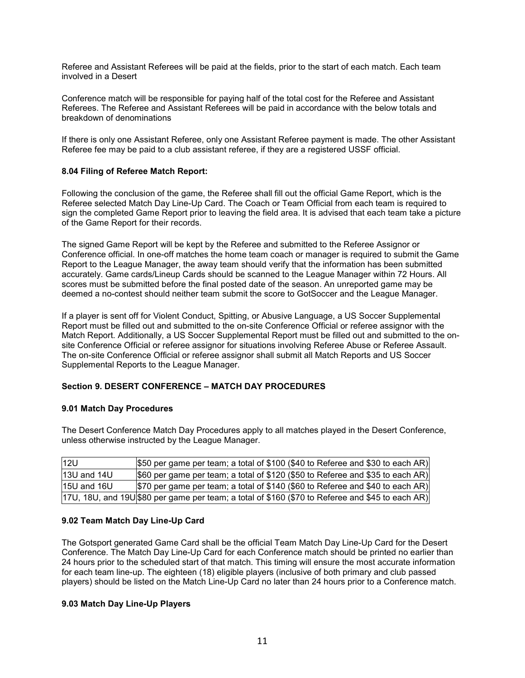Referee and Assistant Referees will be paid at the fields, prior to the start of each match. Each team involved in a Desert

Conference match will be responsible for paying half of the total cost for the Referee and Assistant Referees. The Referee and Assistant Referees will be paid in accordance with the below totals and breakdown of denominations

If there is only one Assistant Referee, only one Assistant Referee payment is made. The other Assistant Referee fee may be paid to a club assistant referee, if they are a registered USSF official.

### **8.04 Filing of Referee Match Report:**

Following the conclusion of the game, the Referee shall fill out the official Game Report, which is the Referee selected Match Day Line-Up Card. The Coach or Team Official from each team is required to sign the completed Game Report prior to leaving the field area. It is advised that each team take a picture of the Game Report for their records.

The signed Game Report will be kept by the Referee and submitted to the Referee Assignor or Conference official. In one-off matches the home team coach or manager is required to submit the Game Report to the League Manager, the away team should verify that the information has been submitted accurately. Game cards/Lineup Cards should be scanned to the League Manager within 72 Hours. All scores must be submitted before the final posted date of the season. An unreported game may be deemed a no-contest should neither team submit the score to GotSoccer and the League Manager.

If a player is sent off for Violent Conduct, Spitting, or Abusive Language, a US Soccer Supplemental Report must be filled out and submitted to the on-site Conference Official or referee assignor with the Match Report. Additionally, a US Soccer Supplemental Report must be filled out and submitted to the onsite Conference Official or referee assignor for situations involving Referee Abuse or Referee Assault. The on-site Conference Official or referee assignor shall submit all Match Reports and US Soccer Supplemental Reports to the League Manager.

# **Section 9. DESERT CONFERENCE – MATCH DAY PROCEDURES**

#### **9.01 Match Day Procedures**

The Desert Conference Match Day Procedures apply to all matches played in the Desert Conference, unless otherwise instructed by the League Manager.

| <b>12U</b>  | \$50 per game per team; a total of \$100 (\$40 to Referee and \$30 to each AR)                   |
|-------------|--------------------------------------------------------------------------------------------------|
| 13U and 14U | \$60 per game per team; a total of \$120 (\$50 to Referee and \$35 to each AR)                   |
| 15U and 16U | \$70 per game per team; a total of \$140 (\$60 to Referee and \$40 to each AR)                   |
|             | 17U, 18U, and 19U \$80 per game per team; a total of \$160 (\$70 to Referee and \$45 to each AR) |

#### **9.02 Team Match Day Line-Up Card**

The Gotsport generated Game Card shall be the official Team Match Day Line-Up Card for the Desert Conference. The Match Day Line-Up Card for each Conference match should be printed no earlier than 24 hours prior to the scheduled start of that match. This timing will ensure the most accurate information for each team line-up. The eighteen (18) eligible players (inclusive of both primary and club passed players) should be listed on the Match Line-Up Card no later than 24 hours prior to a Conference match.

#### **9.03 Match Day Line-Up Players**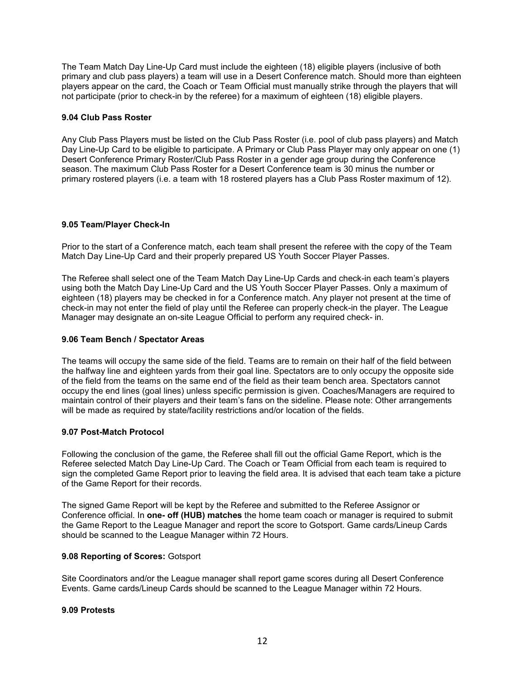The Team Match Day Line-Up Card must include the eighteen (18) eligible players (inclusive of both primary and club pass players) a team will use in a Desert Conference match. Should more than eighteen players appear on the card, the Coach or Team Official must manually strike through the players that will not participate (prior to check-in by the referee) for a maximum of eighteen (18) eligible players.

### **9.04 Club Pass Roster**

Any Club Pass Players must be listed on the Club Pass Roster (i.e. pool of club pass players) and Match Day Line-Up Card to be eligible to participate. A Primary or Club Pass Player may only appear on one (1) Desert Conference Primary Roster/Club Pass Roster in a gender age group during the Conference season. The maximum Club Pass Roster for a Desert Conference team is 30 minus the number or primary rostered players (i.e. a team with 18 rostered players has a Club Pass Roster maximum of 12).

### **9.05 Team/Player Check-In**

Prior to the start of a Conference match, each team shall present the referee with the copy of the Team Match Day Line-Up Card and their properly prepared US Youth Soccer Player Passes.

The Referee shall select one of the Team Match Day Line-Up Cards and check-in each team's players using both the Match Day Line-Up Card and the US Youth Soccer Player Passes. Only a maximum of eighteen (18) players may be checked in for a Conference match. Any player not present at the time of check-in may not enter the field of play until the Referee can properly check-in the player. The League Manager may designate an on-site League Official to perform any required check- in.

### **9.06 Team Bench / Spectator Areas**

The teams will occupy the same side of the field. Teams are to remain on their half of the field between the halfway line and eighteen yards from their goal line. Spectators are to only occupy the opposite side of the field from the teams on the same end of the field as their team bench area. Spectators cannot occupy the end lines (goal lines) unless specific permission is given. Coaches/Managers are required to maintain control of their players and their team's fans on the sideline. Please note: Other arrangements will be made as required by state/facility restrictions and/or location of the fields.

#### **9.07 Post-Match Protocol**

Following the conclusion of the game, the Referee shall fill out the official Game Report, which is the Referee selected Match Day Line-Up Card. The Coach or Team Official from each team is required to sign the completed Game Report prior to leaving the field area. It is advised that each team take a picture of the Game Report for their records.

The signed Game Report will be kept by the Referee and submitted to the Referee Assignor or Conference official. In **one- off (HUB) matches** the home team coach or manager is required to submit the Game Report to the League Manager and report the score to Gotsport. Game cards/Lineup Cards should be scanned to the League Manager within 72 Hours.

#### **9.08 Reporting of Scores:** Gotsport

Site Coordinators and/or the League manager shall report game scores during all Desert Conference Events. Game cards/Lineup Cards should be scanned to the League Manager within 72 Hours.

#### **9.09 Protests**